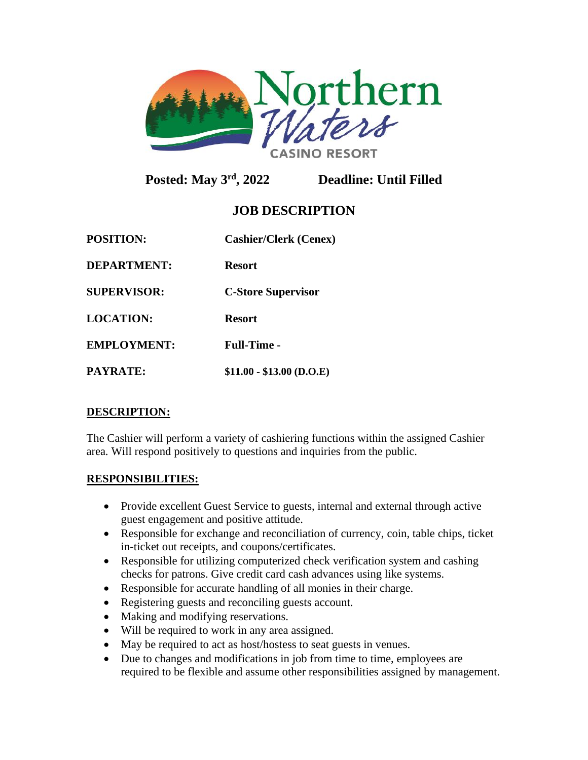

**Posted: May 3rd, 2022 Deadline: Until Filled** 

# **JOB DESCRIPTION**

| <b>POSITION:</b>   | <b>Cashier/Clerk (Cenex)</b> |
|--------------------|------------------------------|
| <b>DEPARTMENT:</b> | <b>Resort</b>                |
| <b>SUPERVISOR:</b> | <b>C-Store Supervisor</b>    |
| <b>LOCATION:</b>   | <b>Resort</b>                |
| <b>EMPLOYMENT:</b> | <b>Full-Time -</b>           |
| <b>PAYRATE:</b>    | $$11.00 - $13.00$ (D.O.E)    |

# **DESCRIPTION:**

The Cashier will perform a variety of cashiering functions within the assigned Cashier area. Will respond positively to questions and inquiries from the public.

#### **RESPONSIBILITIES:**

- Provide excellent Guest Service to guests, internal and external through active guest engagement and positive attitude.
- Responsible for exchange and reconciliation of currency, coin, table chips, ticket in-ticket out receipts, and coupons/certificates.
- Responsible for utilizing computerized check verification system and cashing checks for patrons. Give credit card cash advances using like systems.
- Responsible for accurate handling of all monies in their charge.
- Registering guests and reconciling guests account.
- Making and modifying reservations.
- Will be required to work in any area assigned.
- May be required to act as host/hostess to seat guests in venues.
- Due to changes and modifications in job from time to time, employees are required to be flexible and assume other responsibilities assigned by management.